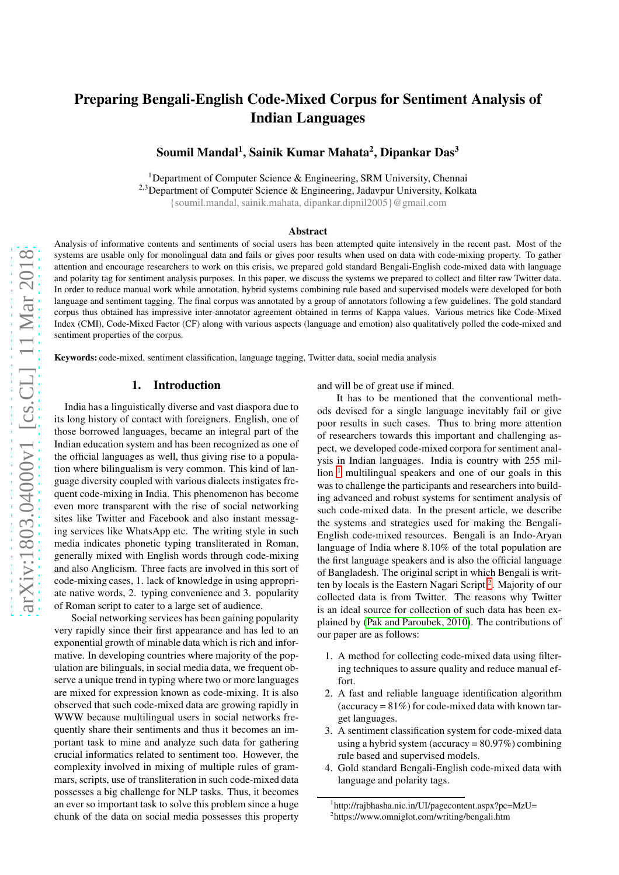# Preparing Bengali-English Code-Mixed Corpus for Sentiment Analysis of Indian Languages

Soumil Mandal<sup>1</sup>, Sainik Kumar Mahata<sup>2</sup>, Dipankar Das<sup>3</sup>

<sup>1</sup>Department of Computer Science & Engineering, SRM University, Chennai <sup>2,3</sup>Department of Computer Science & Engineering, Jadavpur University, Kolkata {soumil.mandal, sainik.mahata, dipankar.dipnil2005}@gmail.com

#### Abstract

Analysis of informative contents and sentiments of social users has been attempted quite intensively in the recent past. Most of the systems are usable only for monolingual data and fails or gives poor results when used on data with code-mixing property. To gather attention and encourage researchers to work on this crisis, we prepared gold standard Bengali-English code-mixed data with language and polarity tag for sentiment analysis purposes. In this paper, we discuss the systems we prepared to collect and filter raw Twitter data. In order to reduce manual work while annotation, hybrid systems combining rule based and supervised models were developed for both language and sentiment tagging. The final corpus was annotated by a group of annotators following a few guidelines. The gold standard corpus thus obtained has impressive inter-annotator agreement obtained in terms of Kappa values. Various metrics like Code-Mixed Index (CMI), Code-Mixed Factor (CF) along with various aspects (language and emotion) also qualitatively polled the code-mixed and sentiment properties of the corpus.

Keywords: code-mixed, sentiment classification, language tagging, Twitter data, social media analysis

# 1. Introduction

India has a linguistically diverse and vast diaspora due to its long history of contact with foreigners. English, one of those borrowed languages, became an integral part of the Indian education system and has been recognized as one of the official languages as well, thus giving rise to a population where bilingualism is very common. This kind of language diversity coupled with various dialects instigates frequent code-mixing in India. This phenomenon has become even more transparent with the rise of social networking sites like Twitter and Facebook and also instant messaging services like WhatsApp etc. The writing style in such media indicates phonetic typing transliterated in Roman, generally mixed with English words through code-mixing and also Anglicism. Three facts are involved in this sort of code-mixing cases, 1. lack of knowledge in using appropriate native words, 2. typing convenience and 3. popularity of Roman script to cater to a large set of audience.

Social networking services has been gaining popularity very rapidly since their first appearance and has led to an exponential growth of minable data which is rich and informative. In developing countries where majority of the population are bilinguals, in social media data, we frequent observe a unique trend in typing where two or more languages are mixed for expression known as code-mixing. It is also observed that such code-mixed data are growing rapidly in WWW because multilingual users in social networks frequently share their sentiments and thus it becomes an important task to mine and analyze such data for gathering crucial informatics related to sentiment too. However, the complexity involved in mixing of multiple rules of grammars, scripts, use of transliteration in such code-mixed data possesses a big challenge for NLP tasks. Thus, it becomes an ever so important task to solve this problem since a huge chunk of the data on social media possesses this property and will be of great use if mined.

It has to be mentioned that the conventional methods devised for a single language inevitably fail or give poor results in such cases. Thus to bring more attention of researchers towards this important and challenging aspect, we developed code-mixed corpora for sentiment analysis in Indian languages. India is country with 255 million  $1$  multilingual speakers and one of our goals in this was to challenge the participants and researchers into building advanced and robust systems for sentiment analysis of such code-mixed data. In the present article, we describe the systems and strategies used for making the Bengali-English code-mixed resources. Bengali is an Indo-Aryan language of India where 8.10% of the total population are the first language speakers and is also the official language of Bangladesh. The original script in which Bengali is writ-ten by locals is the Eastern Nagari Script<sup>[2](#page-0-1)</sup>. Majority of our collected data is from Twitter. The reasons why Twitter is an ideal source for collection of such data has been explained by [\(Pak and Paroubek, 2010\)](#page-7-0). The contributions of our paper are as follows:

- 1. A method for collecting code-mixed data using filtering techniques to assure quality and reduce manual effort.
- 2. A fast and reliable language identification algorithm  $(\text{accuracy} = 81\%)$  for code-mixed data with known target languages.
- 3. A sentiment classification system for code-mixed data using a hybrid system (accuracy =  $80.97\%$ ) combining rule based and supervised models.
- 4. Gold standard Bengali-English code-mixed data with language and polarity tags.

<sup>1</sup> http://rajbhasha.nic.in/UI/pagecontent.aspx?pc=MzU=

<span id="page-0-1"></span><span id="page-0-0"></span><sup>2</sup> https://www.omniglot.com/writing/bengali.htm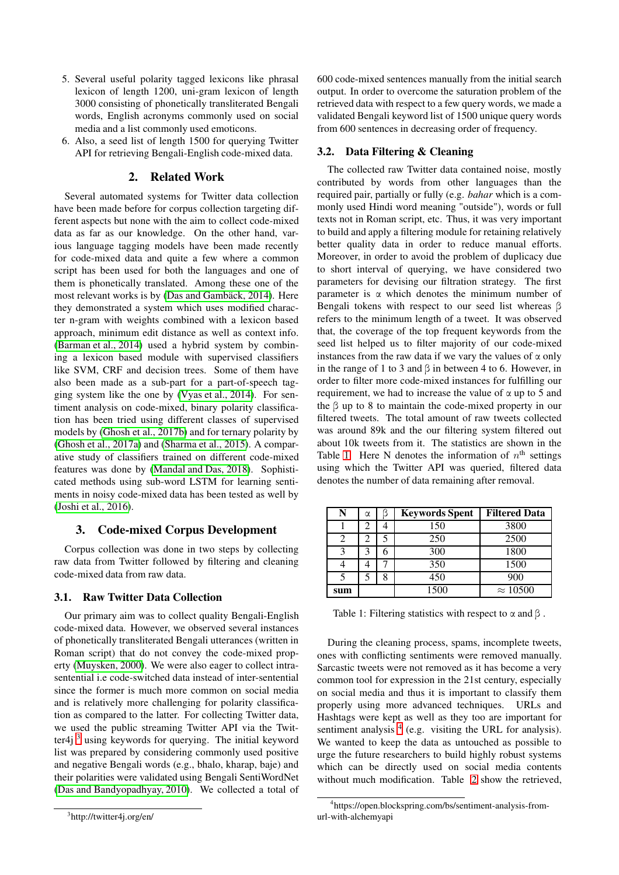- 5. Several useful polarity tagged lexicons like phrasal lexicon of length 1200, uni-gram lexicon of length 3000 consisting of phonetically transliterated Bengali words, English acronyms commonly used on social media and a list commonly used emoticons.
- 6. Also, a seed list of length 1500 for querying Twitter API for retrieving Bengali-English code-mixed data.

# 2. Related Work

Several automated systems for Twitter data collection have been made before for corpus collection targeting different aspects but none with the aim to collect code-mixed data as far as our knowledge. On the other hand, various language tagging models have been made recently for code-mixed data and quite a few where a common script has been used for both the languages and one of them is phonetically translated. Among these one of the most relevant works is by [\(Das and Gambäck, 2014\)](#page-7-1). Here they demonstrated a system which uses modified character n-gram with weights combined with a lexicon based approach, minimum edit distance as well as context info. [\(Barman et al., 2014\)](#page-7-2) used a hybrid system by combining a lexicon based module with supervised classifiers like SVM, CRF and decision trees. Some of them have also been made as a sub-part for a part-of-speech tagging system like the one by [\(Vyas et al., 2014\)](#page-7-3). For sentiment analysis on code-mixed, binary polarity classification has been tried using different classes of supervised models by [\(Ghosh et al., 2017b\)](#page-7-4) and for ternary polarity by [\(Ghosh et al., 2017a\)](#page-7-5) and [\(Sharma et al., 2015\)](#page-7-6). A comparative study of classifiers trained on different code-mixed features was done by [\(Mandal and Das, 2018\)](#page-7-7). Sophisticated methods using sub-word LSTM for learning sentiments in noisy code-mixed data has been tested as well by [\(Joshi et al., 2016\)](#page-7-8).

# 3. Code-mixed Corpus Development

Corpus collection was done in two steps by collecting raw data from Twitter followed by filtering and cleaning code-mixed data from raw data.

# 3.1. Raw Twitter Data Collection

<span id="page-1-0"></span>Our primary aim was to collect quality Bengali-English code-mixed data. However, we observed several instances of phonetically transliterated Bengali utterances (written in Roman script) that do not convey the code-mixed property [\(Muysken, 2000\)](#page-7-9). We were also eager to collect intrasentential i.e code-switched data instead of inter-sentential since the former is much more common on social media and is relatively more challenging for polarity classification as compared to the latter. For collecting Twitter data, we used the public streaming Twitter API via the Twitter4 $i<sup>3</sup>$  $i<sup>3</sup>$  $i<sup>3</sup>$  using keywords for querying. The initial keyword list was prepared by considering commonly used positive and negative Bengali words (e.g., bhalo, kharap, baje) and their polarities were validated using Bengali SentiWordNet [\(Das and Bandyopadhyay, 2010\)](#page-7-10). We collected a total of

600 code-mixed sentences manually from the initial search output. In order to overcome the saturation problem of the retrieved data with respect to a few query words, we made a validated Bengali keyword list of 1500 unique query words from 600 sentences in decreasing order of frequency.

## 3.2. Data Filtering & Cleaning

The collected raw Twitter data contained noise, mostly contributed by words from other languages than the required pair, partially or fully (e.g. *bahar* which is a commonly used Hindi word meaning "outside"), words or full texts not in Roman script, etc. Thus, it was very important to build and apply a filtering module for retaining relatively better quality data in order to reduce manual efforts. Moreover, in order to avoid the problem of duplicacy due to short interval of querying, we have considered two parameters for devising our filtration strategy. The first parameter is  $\alpha$  which denotes the minimum number of Bengali tokens with respect to our seed list whereas β refers to the minimum length of a tweet. It was observed that, the coverage of the top frequent keywords from the seed list helped us to filter majority of our code-mixed instances from the raw data if we vary the values of  $\alpha$  only in the range of 1 to 3 and  $\beta$  in between 4 to 6. However, in order to filter more code-mixed instances for fulfilling our requirement, we had to increase the value of  $\alpha$  up to 5 and the  $\beta$  up to 8 to maintain the code-mixed property in our filtered tweets. The total amount of raw tweets collected was around 89k and the our filtering system filtered out about 10k tweets from it. The statistics are shown in the Table [1.](#page-1-1) Here N denotes the information of  $n^{\text{th}}$  settings using which the Twitter API was queried, filtered data denotes the number of data remaining after removal.

<span id="page-1-1"></span>

|     | α | K | <b>Keywords Spent</b> | <b>Filtered Data</b> |
|-----|---|---|-----------------------|----------------------|
|     |   |   | 150                   | 3800                 |
|     |   |   | 250                   | 2500                 |
|     |   |   | 300                   | 1800                 |
|     |   |   | 350                   | 1500                 |
|     |   |   | 450                   | 900                  |
| sum |   |   | 1500                  | $\approx 10500$      |

Table 1: Filtering statistics with respect to  $\alpha$  and  $\beta$ .

During the cleaning process, spams, incomplete tweets, ones with conflicting sentiments were removed manually. Sarcastic tweets were not removed as it has become a very common tool for expression in the 21st century, especially on social media and thus it is important to classify them properly using more advanced techniques. URLs and Hashtags were kept as well as they too are important for sentiment analysis <sup>[4](#page-1-2)</sup> (e.g. visiting the URL for analysis). We wanted to keep the data as untouched as possible to urge the future researchers to build highly robust systems which can be directly used on social media contents without much modification. Table [2](#page-2-0) show the retrieved,

<span id="page-1-2"></span><sup>4</sup> https://open.blockspring.com/bs/sentiment-analysis-fromurl-with-alchemyapi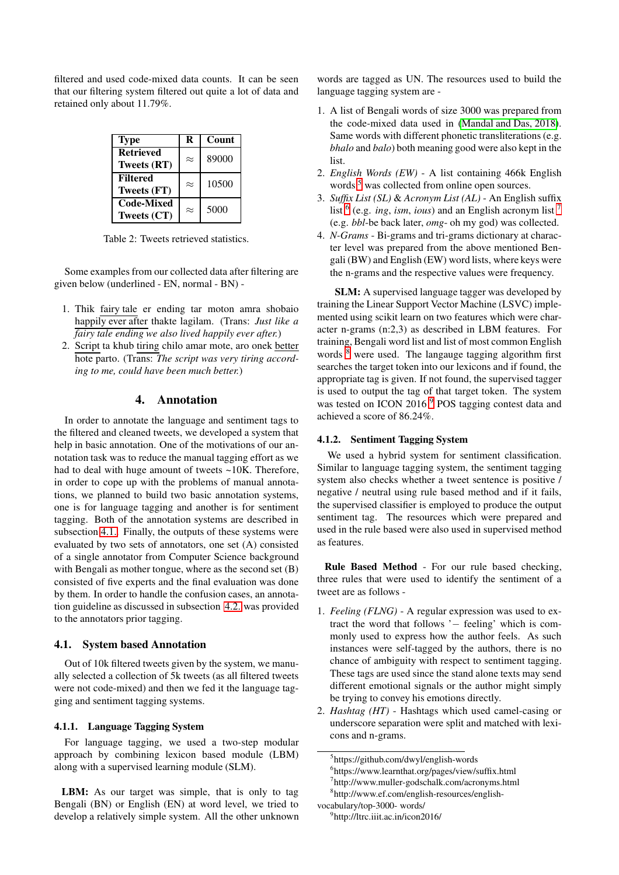<span id="page-2-0"></span>filtered and used code-mixed data counts. It can be seen that our filtering system filtered out quite a lot of data and retained only about 11.79%.

| <b>Type</b>       | R         | Count |
|-------------------|-----------|-------|
| <b>Retrieved</b>  | $\approx$ | 89000 |
| Tweets (RT)       |           |       |
| <b>Filtered</b>   | $\approx$ | 10500 |
| Tweets (FT)       |           |       |
| <b>Code-Mixed</b> | $\approx$ | 5000  |
| Tweets (CT)       |           |       |

Table 2: Tweets retrieved statistics.

Some examples from our collected data after filtering are given below (underlined - EN, normal - BN) -

- 1. Thik fairy tale er ending tar moton amra shobaio happily ever after thakte lagilam. (Trans: *Just like a fairy tale ending we also lived happily ever after.*)
- 2. Script ta khub tiring chilo amar mote, aro onek better hote parto. (Trans: *The script was very tiring according to me, could have been much better.*)

## 4. Annotation

In order to annotate the language and sentiment tags to the filtered and cleaned tweets, we developed a system that help in basic annotation. One of the motivations of our annotation task was to reduce the manual tagging effort as we had to deal with huge amount of tweets ~10K. Therefore, in order to cope up with the problems of manual annotations, we planned to build two basic annotation systems, one is for language tagging and another is for sentiment tagging. Both of the annotation systems are described in subsection [4.1..](#page-2-1) Finally, the outputs of these systems were evaluated by two sets of annotators, one set (A) consisted of a single annotator from Computer Science background with Bengali as mother tongue, where as the second set (B) consisted of five experts and the final evaluation was done by them. In order to handle the confusion cases, an annotation guideline as discussed in subsection [4.2.](#page-4-0) was provided to the annotators prior tagging.

## <span id="page-2-1"></span>4.1. System based Annotation

Out of 10k filtered tweets given by the system, we manually selected a collection of 5k tweets (as all filtered tweets were not code-mixed) and then we fed it the language tagging and sentiment tagging systems.

#### 4.1.1. Language Tagging System

For language tagging, we used a two-step modular approach by combining lexicon based module (LBM) along with a supervised learning module (SLM).

LBM: As our target was simple, that is only to tag Bengali (BN) or English (EN) at word level, we tried to develop a relatively simple system. All the other unknown words are tagged as UN. The resources used to build the language tagging system are -

- 1. A list of Bengali words of size 3000 was prepared from the code-mixed data used in [\(Mandal and Das, 2018\)](#page-7-7). Same words with different phonetic transliterations (e.g. *bhalo* and *balo*) both meaning good were also kept in the list.
- 2. *English Words (EW)* A list containing 466k English words <sup>[5](#page-2-2)</sup> was collected from online open sources.
- 3. *Suffix List (SL)* & *Acronym List (AL)* An English suffix list [6](#page-2-3) (e.g. *ing*, *ism*, *ious*) and an English acronym list [7](#page-2-4) (e.g. *bbl*-be back later, *omg*- oh my god) was collected.
- 4. *N-Grams* Bi-grams and tri-grams dictionary at character level was prepared from the above mentioned Bengali (BW) and English (EW) word lists, where keys were the n-grams and the respective values were frequency.

SLM: A supervised language tagger was developed by training the Linear Support Vector Machine (LSVC) implemented using scikit learn on two features which were character n-grams (n:2,3) as described in LBM features. For training, Bengali word list and list of most common English words <sup>[8](#page-2-5)</sup> were used. The langauge tagging algorithm first searches the target token into our lexicons and if found, the appropriate tag is given. If not found, the supervised tagger is used to output the tag of that target token. The system was tested on ICON 2016<sup>[9](#page-2-6)</sup> POS tagging contest data and achieved a score of 86.24%.

#### 4.1.2. Sentiment Tagging System

We used a hybrid system for sentiment classification. Similar to language tagging system, the sentiment tagging system also checks whether a tweet sentence is positive / negative / neutral using rule based method and if it fails, the supervised classifier is employed to produce the output sentiment tag. The resources which were prepared and used in the rule based were also used in supervised method as features.

Rule Based Method - For our rule based checking, three rules that were used to identify the sentiment of a tweet are as follows -

- 1. *Feeling (FLNG)* A regular expression was used to extract the word that follows '− feeling' which is commonly used to express how the author feels. As such instances were self-tagged by the authors, there is no chance of ambiguity with respect to sentiment tagging. These tags are used since the stand alone texts may send different emotional signals or the author might simply be trying to convey his emotions directly.
- 2. *Hashtag (HT)* Hashtags which used camel-casing or underscore separation were split and matched with lexicons and n-grams.

<sup>5</sup> https://github.com/dwyl/english-words

<span id="page-2-2"></span><sup>6</sup> https://www.learnthat.org/pages/view/suffix.html

<span id="page-2-3"></span><sup>7</sup> http://www.muller-godschalk.com/acronyms.html

<span id="page-2-5"></span><span id="page-2-4"></span><sup>8</sup> http://www.ef.com/english-resources/english-

vocabulary/top-3000- words/

<span id="page-2-6"></span><sup>9</sup> http://ltrc.iiit.ac.in/icon2016/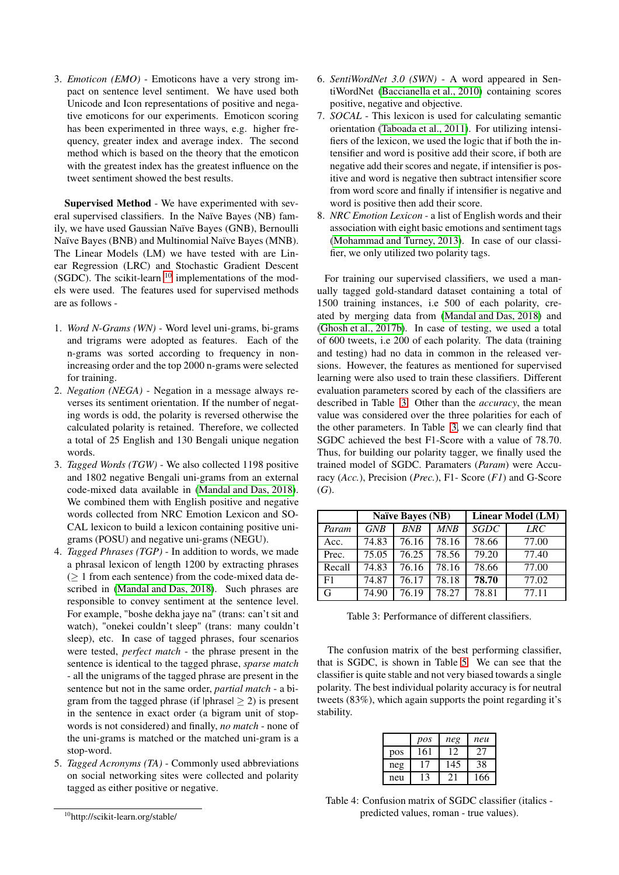3. *Emoticon (EMO)* - Emoticons have a very strong impact on sentence level sentiment. We have used both Unicode and Icon representations of positive and negative emoticons for our experiments. Emoticon scoring has been experimented in three ways, e.g. higher frequency, greater index and average index. The second method which is based on the theory that the emoticon with the greatest index has the greatest influence on the tweet sentiment showed the best results.

Supervised Method - We have experimented with several supervised classifiers. In the Naïve Bayes (NB) family, we have used Gaussian Naïve Bayes (GNB), Bernoulli Naïve Bayes (BNB) and Multinomial Naïve Bayes (MNB). The Linear Models (LM) we have tested with are Linear Regression (LRC) and Stochastic Gradient Descent (SGDC). The scikit-learn  $10$  implementations of the models were used. The features used for supervised methods are as follows -

- 1. *Word N-Grams (WN)* Word level uni-grams, bi-grams and trigrams were adopted as features. Each of the n-grams was sorted according to frequency in nonincreasing order and the top 2000 n-grams were selected for training.
- 2. *Negation (NEGA)* Negation in a message always reverses its sentiment orientation. If the number of negating words is odd, the polarity is reversed otherwise the calculated polarity is retained. Therefore, we collected a total of 25 English and 130 Bengali unique negation words.
- 3. *Tagged Words (TGW)* We also collected 1198 positive and 1802 negative Bengali uni-grams from an external code-mixed data available in [\(Mandal and Das, 2018\)](#page-7-7). We combined them with English positive and negative words collected from NRC Emotion Lexicon and SO-CAL lexicon to build a lexicon containing positive unigrams (POSU) and negative uni-grams (NEGU).
- 4. *Tagged Phrases (TGP)* In addition to words, we made a phrasal lexicon of length 1200 by extracting phrases  $($  > 1 from each sentence) from the code-mixed data described in [\(Mandal and Das, 2018\)](#page-7-7). Such phrases are responsible to convey sentiment at the sentence level. For example, "boshe dekha jaye na" (trans: can't sit and watch), "onekei couldn't sleep" (trans: many couldn't sleep), etc. In case of tagged phrases, four scenarios were tested, *perfect match* - the phrase present in the sentence is identical to the tagged phrase, *sparse match* - all the unigrams of the tagged phrase are present in the sentence but not in the same order, *partial match* - a bigram from the tagged phrase (if  $|{\rm phrase}| \geq 2$ ) is present in the sentence in exact order (a bigram unit of stopwords is not considered) and finally, *no match* - none of the uni-grams is matched or the matched uni-gram is a stop-word.
- 5. *Tagged Acronyms (TA)* Commonly used abbreviations on social networking sites were collected and polarity tagged as either positive or negative.
- 6. *SentiWordNet 3.0 (SWN)* A word appeared in SentiWordNet [\(Baccianella et al., 2010\)](#page-7-11) containing scores positive, negative and objective.
- 7. *SOCAL* This lexicon is used for calculating semantic orientation [\(Taboada et al., 2011\)](#page-7-12). For utilizing intensifiers of the lexicon, we used the logic that if both the intensifier and word is positive add their score, if both are negative add their scores and negate, if intensifier is positive and word is negative then subtract intensifier score from word score and finally if intensifier is negative and word is positive then add their score.
- 8. *NRC Emotion Lexicon* a list of English words and their association with eight basic emotions and sentiment tags [\(Mohammad and Turney, 2013\)](#page-7-13). In case of our classifier, we only utilized two polarity tags.

For training our supervised classifiers, we used a manually tagged gold-standard dataset containing a total of 1500 training instances, i.e 500 of each polarity, created by merging data from [\(Mandal and Das, 2018\)](#page-7-7) and [\(Ghosh et al., 2017b\)](#page-7-4). In case of testing, we used a total of 600 tweets, i.e 200 of each polarity. The data (training and testing) had no data in common in the released versions. However, the features as mentioned for supervised learning were also used to train these classifiers. Different evaluation parameters scored by each of the classifiers are described in Table [3.](#page-3-1) Other than the *accuracy*, the mean value was considered over the three polarities for each of the other parameters. In Table [3,](#page-3-1) we can clearly find that SGDC achieved the best F1-Score with a value of 78.70. Thus, for building our polarity tagger, we finally used the trained model of SGDC. Paramaters (*Param*) were Accuracy (*Acc.*), Precision (*Prec.*), F1- Score (*F1*) and G-Score (*G*).

<span id="page-3-1"></span>

|        |       | <b>Naïve Bayes (NB)</b> |       |             | Linear Model (LM) |
|--------|-------|-------------------------|-------|-------------|-------------------|
| Param  | GNB   | <b>BNB</b>              | MNB   | <b>SGDC</b> | LRC               |
| Acc.   | 74.83 | 76.16                   | 78.16 | 78.66       | 77.00             |
| Prec.  | 75.05 | 76.25                   | 78.56 | 79.20       | 77.40             |
| Recall | 74.83 | 76.16                   | 78.16 | 78.66       | 77.00             |
| F1     | 74.87 | 76.17                   | 78.18 | 78.70       | 77.02             |
|        | 74.90 | 76.19                   | 78.27 | 78.81       | 77.11             |

Table 3: Performance of different classifiers.

The confusion matrix of the best performing classifier, that is SGDC, is shown in Table [5.](#page-5-0) We can see that the classifier is quite stable and not very biased towards a single polarity. The best individual polarity accuracy is for neutral tweets (83%), which again supports the point regarding it's stability.

|     | pos | neg | neu |
|-----|-----|-----|-----|
| pos | 161 | 12  | 27  |
| neg |     | 145 | 38  |
| neu |     |     | 166 |

Table 4: Confusion matrix of SGDC classifier (italics predicted values, roman - true values).

<span id="page-3-0"></span><sup>10</sup>http://scikit-learn.org/stable/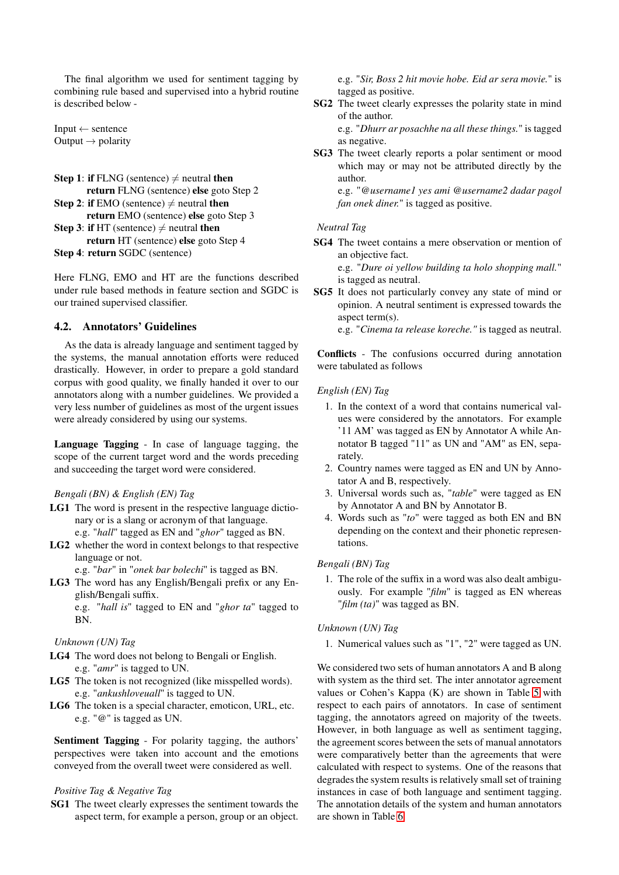The final algorithm we used for sentiment tagging by combining rule based and supervised into a hybrid routine is described below -

Input  $\leftarrow$  sentence Output  $\rightarrow$  polarity

```
Step 1: if FLNG (sentence) \neq neutral then
       return FLNG (sentence) else goto Step 2
Step 2: if EMO (sentence) \neq neutral then
       return EMO (sentence) else goto Step 3
Step 3: if HT (sentence) \neq neutral then
       return HT (sentence) else goto Step 4
Step 4: return SGDC (sentence)
```
Here FLNG, EMO and HT are the functions described under rule based methods in feature section and SGDC is our trained supervised classifier.

# <span id="page-4-0"></span>4.2. Annotators' Guidelines

As the data is already language and sentiment tagged by the systems, the manual annotation efforts were reduced drastically. However, in order to prepare a gold standard corpus with good quality, we finally handed it over to our annotators along with a number guidelines. We provided a very less number of guidelines as most of the urgent issues were already considered by using our systems.

Language Tagging - In case of language tagging, the scope of the current target word and the words preceding and succeeding the target word were considered.

*Bengali (BN) & English (EN) Tag*

- LG1 The word is present in the respective language dictionary or is a slang or acronym of that language. e.g. "*hall*" tagged as EN and "*ghor*" tagged as BN.
- LG2 whether the word in context belongs to that respective language or not.

e.g. "*bar*" in "*onek bar bolechi*" is tagged as BN.

LG3 The word has any English/Bengali prefix or any English/Bengali suffix.

e.g. "*hall is*" tagged to EN and "*ghor ta*" tagged to BN.

# *Unknown (UN) Tag*

- LG4 The word does not belong to Bengali or English. e.g. "*amr*" is tagged to UN.
- LG5 The token is not recognized (like misspelled words). e.g. "*ankushloveuall*" is tagged to UN.
- LG6 The token is a special character, emoticon, URL, etc. e.g. "*@*" is tagged as UN.

Sentiment Tagging - For polarity tagging, the authors' perspectives were taken into account and the emotions conveyed from the overall tweet were considered as well.

## *Positive Tag & Negative Tag*

SG1 The tweet clearly expresses the sentiment towards the aspect term, for example a person, group or an object. e.g. "*Sir, Boss 2 hit movie hobe. Eid ar sera movie.*" is tagged as positive.

SG2 The tweet clearly expresses the polarity state in mind of the author.

e.g. "*Dhurr ar posachhe na all these things.*" is tagged as negative.

SG3 The tweet clearly reports a polar sentiment or mood which may or may not be attributed directly by the author.

e.g. "*@username1 yes ami @username2 dadar pagol fan onek diner.*" is tagged as positive.

#### *Neutral Tag*

SG4 The tweet contains a mere observation or mention of an objective fact.

e.g. "*Dure oi yellow building ta holo shopping mall.*" is tagged as neutral.

SG5 It does not particularly convey any state of mind or opinion. A neutral sentiment is expressed towards the aspect term(s).

e.g. "*Cinema ta release koreche."* is tagged as neutral.

Conflicts - The confusions occurred during annotation were tabulated as follows

# *English (EN) Tag*

- 1. In the context of a word that contains numerical values were considered by the annotators. For example '11 AM' was tagged as EN by Annotator A while Annotator B tagged "11" as UN and "AM" as EN, separately.
- 2. Country names were tagged as EN and UN by Annotator A and B, respectively.
- 3. Universal words such as, "*table*" were tagged as EN by Annotator A and BN by Annotator B.
- 4. Words such as "*to*" were tagged as both EN and BN depending on the context and their phonetic representations.

#### *Bengali (BN) Tag*

1. The role of the suffix in a word was also dealt ambiguously. For example "*film*" is tagged as EN whereas "*film (ta)*" was tagged as BN.

#### *Unknown (UN) Tag*

1. Numerical values such as "1", "2" were tagged as UN.

We considered two sets of human annotators A and B along with system as the third set. The inter annotator agreement values or Cohen's Kappa (K) are shown in Table [5](#page-5-0) with respect to each pairs of annotators. In case of sentiment tagging, the annotators agreed on majority of the tweets. However, in both language as well as sentiment tagging, the agreement scores between the sets of manual annotators were comparatively better than the agreements that were calculated with respect to systems. One of the reasons that degrades the system results is relatively small set of training instances in case of both language and sentiment tagging. The annotation details of the system and human annotators are shown in Table [6.](#page-5-1)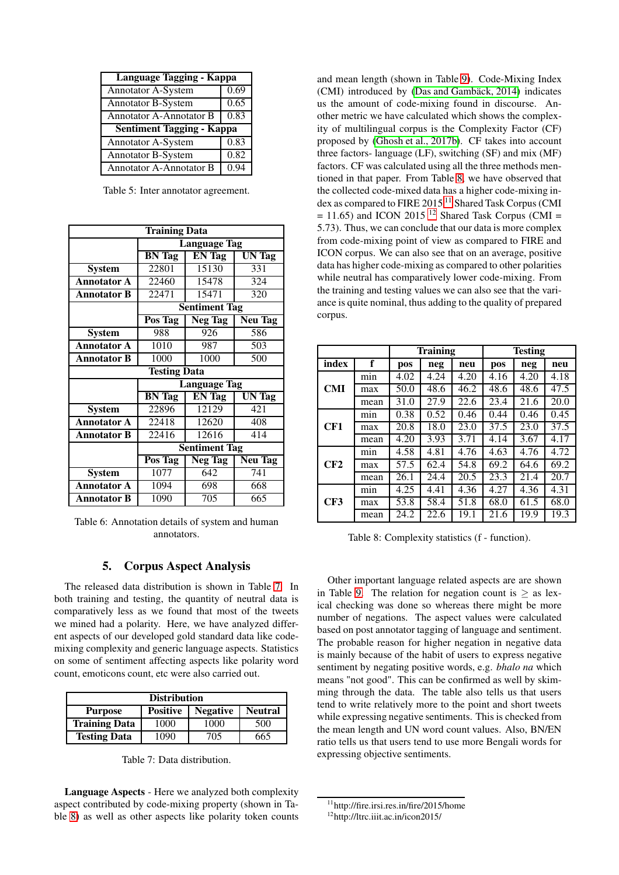<span id="page-5-0"></span>

| Language Tagging - Kappa         |      |  |  |  |
|----------------------------------|------|--|--|--|
| <b>Annotator A-System</b>        | 0.69 |  |  |  |
| Annotator B-System               | 0.65 |  |  |  |
| Annotator A-Annotator B          | 0.83 |  |  |  |
| <b>Sentiment Tagging - Kappa</b> |      |  |  |  |
| <b>Annotator A-System</b>        | 0.83 |  |  |  |
| Annotator B-System               | 0.82 |  |  |  |
| <b>Annotator A-Annotator B</b>   | 0.94 |  |  |  |

Table 5: Inter annotator agreement.

<span id="page-5-1"></span>

|                    | <b>Training Data</b> |                     |                |  |  |
|--------------------|----------------------|---------------------|----------------|--|--|
|                    |                      | <b>Language Tag</b> |                |  |  |
|                    | <b>BN</b> Tag        | <b>EN</b> Tag       | UN Tag         |  |  |
| <b>System</b>      | 22801                | 15130               | 331            |  |  |
| <b>Annotator A</b> | 22460                | 15478               | 324            |  |  |
| <b>Annotator B</b> | 22471                | 15471               | 320            |  |  |
|                    | <b>Sentiment Tag</b> |                     |                |  |  |
|                    | Pos Tag              | Neg Tag             | <b>Neu Tag</b> |  |  |
| <b>System</b>      | 988                  | 926                 | 586            |  |  |
| <b>Annotator A</b> | 1010                 | 987                 | 503            |  |  |
| <b>Annotator B</b> | 1000                 | 1000                | 500            |  |  |
|                    | <b>Testing Data</b>  |                     |                |  |  |
|                    |                      | <b>Language Tag</b> |                |  |  |
|                    | <b>BN</b> Tag        | <b>EN</b> Tag       | <b>UN Tag</b>  |  |  |
| <b>System</b>      | 22896                | 12129               | 421            |  |  |
| <b>Annotator A</b> | 22418                | 12620               | 408            |  |  |
| <b>Annotator B</b> | 22416                | 12616               | 414            |  |  |
|                    | <b>Sentiment Tag</b> |                     |                |  |  |
|                    | Pos Tag              | Neg Tag             | <b>Neu Tag</b> |  |  |
| <b>System</b>      | 1077                 | 642                 | 741            |  |  |
| <b>Annotator A</b> | 1094                 | 698                 | 668            |  |  |
| Annotator B        | 1090                 | 705                 | 665            |  |  |

Table 6: Annotation details of system and human annotators.

# 5. Corpus Aspect Analysis

The released data distribution is shown in Table [7.](#page-5-2) In both training and testing, the quantity of neutral data is comparatively less as we found that most of the tweets we mined had a polarity. Here, we have analyzed different aspects of our developed gold standard data like codemixing complexity and generic language aspects. Statistics on some of sentiment affecting aspects like polarity word count, emoticons count, etc were also carried out.

<span id="page-5-2"></span>

| <b>Distribution</b>                                                    |      |      |     |  |  |  |
|------------------------------------------------------------------------|------|------|-----|--|--|--|
| <b>Neutral</b><br><b>Negative</b><br><b>Positive</b><br><b>Purpose</b> |      |      |     |  |  |  |
| <b>Training Data</b>                                                   | 1000 | 1000 | 500 |  |  |  |
| <b>Testing Data</b><br>665<br>705<br>1090                              |      |      |     |  |  |  |

Table 7: Data distribution.

Language Aspects - Here we analyzed both complexity aspect contributed by code-mixing property (shown in Table [8\)](#page-5-3) as well as other aspects like polarity token counts and mean length (shown in Table [9\)](#page-6-0). Code-Mixing Index (CMI) introduced by [\(Das and Gambäck, 2014\)](#page-7-1) indicates us the amount of code-mixing found in discourse. Another metric we have calculated which shows the complexity of multilingual corpus is the Complexity Factor (CF) proposed by [\(Ghosh et al., 2017b\)](#page-7-4). CF takes into account three factors- language (LF), switching (SF) and mix (MF) factors. CF was calculated using all the three methods mentioned in that paper. From Table [8,](#page-5-3) we have observed that the collected code-mixed data has a higher code-mixing index as compared to FIRE 2015 [11](#page-5-4) Shared Task Corpus (CMI  $= 11.65$ ) and ICON 2015<sup>[12](#page-5-5)</sup> Shared Task Corpus (CMI = 5.73). Thus, we can conclude that our data is more complex from code-mixing point of view as compared to FIRE and ICON corpus. We can also see that on an average, positive data has higher code-mixing as compared to other polarities while neutral has comparatively lower code-mixing. From the training and testing values we can also see that the variance is quite nominal, thus adding to the quality of prepared corpus.

<span id="page-5-3"></span>

|            |      |                    | <b>Training</b> |      | <b>Testing</b> |      |      |
|------------|------|--------------------|-----------------|------|----------------|------|------|
| index      | f    | pos                | neg             | neu  | pos            | neg  | neu  |
|            | min  | 4.02               | 4.24            | 4.20 | 4.16           | 4.20 | 4.18 |
| <b>CMI</b> | max  | 50.0               | 48.6            | 46.2 | 48.6           | 48.6 | 47.5 |
|            | mean | 31.0               | 27.9            | 22.6 | 23.4           | 21.6 | 20.0 |
|            | min  | 0.38               | 0.52            | 0.46 | 0.44           | 0.46 | 0.45 |
| CF1        | max  | 20.8               | 18.0            | 23.0 | 37.5           | 23.0 | 37.5 |
|            | mean | 4.20               | 3.93            | 3.71 | 4.14           | 3.67 | 4.17 |
|            | min  | 4.58               | 4.81            | 4.76 | 4.63           | 4.76 | 4.72 |
| CF2        | max  | $\overline{5}$ 7.5 | 62.4            | 54.8 | 69.2           | 64.6 | 69.2 |
|            | mean | 26.1               | 24.4            | 20.5 | 23.3           | 21.4 | 20.7 |
|            | min  | 4.25               | 4.41            | 4.36 | 4.27           | 4.36 | 4.31 |
| CF3        | max  | 53.8               | 58.4            | 51.8 | 68.0           | 61.5 | 68.0 |
|            | mean | 24.2               | 22.6            | 19.1 | 21.6           | 19.9 | 19.3 |

Table 8: Complexity statistics (f - function).

Other important language related aspects are are shown in Table [9.](#page-6-0) The relation for negation count is  $\geq$  as lexical checking was done so whereas there might be more number of negations. The aspect values were calculated based on post annotator tagging of language and sentiment. The probable reason for higher negation in negative data is mainly because of the habit of users to express negative sentiment by negating positive words, e.g. *bhalo na* which means "not good". This can be confirmed as well by skimming through the data. The table also tells us that users tend to write relatively more to the point and short tweets while expressing negative sentiments. This is checked from the mean length and UN word count values. Also, BN/EN ratio tells us that users tend to use more Bengali words for expressing objective sentiments.

<sup>11</sup>http://fire.irsi.res.in/fire/2015/home

<span id="page-5-5"></span><span id="page-5-4"></span><sup>12</sup>http://ltrc.iiit.ac.in/icon2015/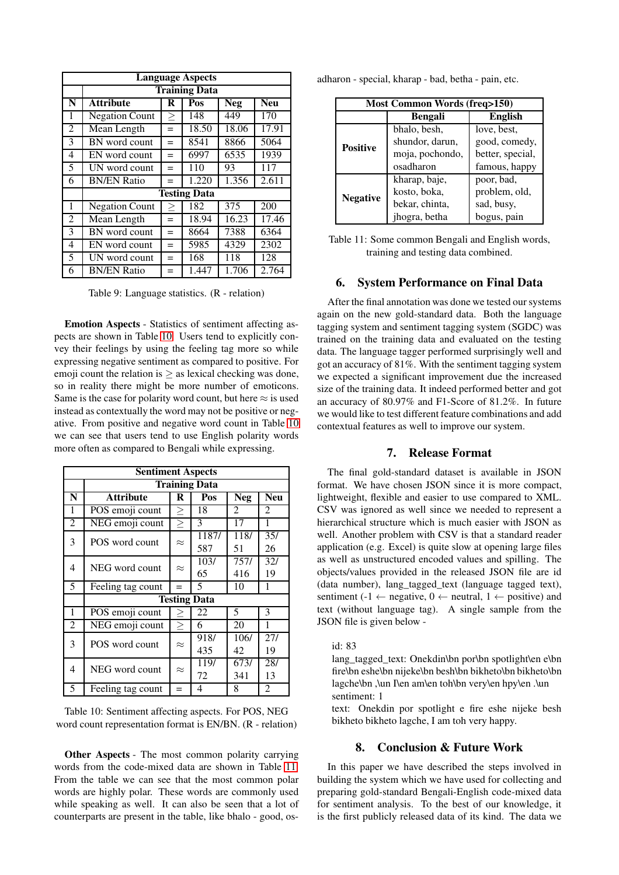<span id="page-6-0"></span>

|                | <b>Language Aspects</b> |        |                      |            |            |  |
|----------------|-------------------------|--------|----------------------|------------|------------|--|
|                |                         |        | <b>Training Data</b> |            |            |  |
| N              | <b>Attribute</b>        | R      | Pos                  | <b>Neg</b> | <b>Neu</b> |  |
| 1              | <b>Negation Count</b>   | $\geq$ | 148                  | 449        | 170        |  |
| $\overline{2}$ | Mean Length             | $=$    | 18.50                | 18.06      | 17.91      |  |
| 3              | BN word count           | $=$    | 8541                 | 8866       | 5064       |  |
| 4              | EN word count           | $=$    | 6997                 | 6535       | 1939       |  |
| 5              | UN word count           | $=$    | 110                  | 93         | 117        |  |
| 6              | <b>BN/EN Ratio</b>      | $=$    | 1.220                | 1.356      | 2.611      |  |
|                |                         |        | <b>Testing Data</b>  |            |            |  |
| 1              | <b>Negation Count</b>   | $\geq$ | 182                  | 375        | 200        |  |
| $\overline{2}$ | Mean Length             | $=$    | 18.94                | 16.23      | 17.46      |  |
| 3              | BN word count           | $=$    | 8664                 | 7388       | 6364       |  |
| 4              | EN word count           | $=$    | 5985                 | 4329       | 2302       |  |
| 5              | UN word count           | $=$    | 168                  | 118        | 128        |  |
| 6              | <b>BN/EN Ratio</b>      | $=$    | 1.447                | 1.706      | 2.764      |  |

Table 9: Language statistics. (R - relation)

Emotion Aspects - Statistics of sentiment affecting aspects are shown in Table [10.](#page-6-1) Users tend to explicitly convey their feelings by using the feeling tag more so while expressing negative sentiment as compared to positive. For emoji count the relation is  $\geq$  as lexical checking was done, so in reality there might be more number of emoticons. Same is the case for polarity word count, but here  $\approx$  is used instead as contextually the word may not be positive or negative. From positive and negative word count in Table [10](#page-6-1) we can see that users tend to use English polarity words more often as compared to Bengali while expressing.

<span id="page-6-1"></span>

|                | <b>Sentiment Aspects</b> |           |                     |            |              |  |
|----------------|--------------------------|-----------|---------------------|------------|--------------|--|
|                | <b>Training Data</b>     |           |                     |            |              |  |
| N              | <b>Attribute</b>         | R         | Pos                 | <b>Neg</b> | Neu          |  |
| 1              | POS emoji count          | $\geq$    | 18                  | 2          | 2            |  |
| $\overline{2}$ | NEG emoji count          | $\geq$    | 3                   | 17         | 1            |  |
| 3              | POS word count           | $\approx$ | 1187/               | 118/       | 35/          |  |
|                |                          |           | 587                 | 51         | 26           |  |
| $\overline{4}$ | NEG word count           | $\approx$ | 103/                | 757/       | 32/          |  |
|                |                          |           | 65                  | 416        | 19           |  |
| 5              | Feeling tag count        |           | 5                   | 10         | $\mathbf{1}$ |  |
|                |                          |           | <b>Testing Data</b> |            |              |  |
| 1              | POS emoji count          | ≥         | 22                  | 5          | 3            |  |
| $\overline{2}$ | NEG emoji count          | $\geq$    | 6                   | 20         | 1            |  |
| 3              | POS word count           | $\approx$ | 918/                | 106/       | 271          |  |
|                |                          |           | 435                 | 42         | 19           |  |
| 4              | NEG word count           | $\approx$ | <sup>119</sup> /    | 673/       | 28/          |  |
|                |                          |           | 72                  | 341        | 13           |  |
| 5              | Feeling tag count        | $=$       | 4                   | 8          | 2            |  |

Table 10: Sentiment affecting aspects. For POS, NEG word count representation format is EN/BN. (R - relation)

Other Aspects - The most common polarity carrying words from the code-mixed data are shown in Table [11.](#page-6-2) From the table we can see that the most common polar words are highly polar. These words are commonly used while speaking as well. It can also be seen that a lot of counterparts are present in the table, like bhalo - good, os-

<span id="page-6-2"></span>

| adharon - special, kharap - bad, betha - pain, etc. |  |  |  |
|-----------------------------------------------------|--|--|--|
|                                                     |  |  |  |

| <b>Most Common Words (freq&gt;150)</b> |                 |                  |  |  |  |
|----------------------------------------|-----------------|------------------|--|--|--|
|                                        | <b>Bengali</b>  |                  |  |  |  |
|                                        | bhalo, besh,    | love, best,      |  |  |  |
| <b>Positive</b>                        | shundor, darun, | good, comedy,    |  |  |  |
|                                        | moja, pochondo, | better, special, |  |  |  |
|                                        | osadharon       | famous, happy    |  |  |  |
|                                        | kharap, baje,   | poor, bad,       |  |  |  |
|                                        | kosto, boka,    | problem, old,    |  |  |  |
| <b>Negative</b>                        | bekar, chinta,  | sad, busy,       |  |  |  |
|                                        | jhogra, betha   | bogus, pain      |  |  |  |

Table 11: Some common Bengali and English words, training and testing data combined.

## 6. System Performance on Final Data

After the final annotation was done we tested our systems again on the new gold-standard data. Both the language tagging system and sentiment tagging system (SGDC) was trained on the training data and evaluated on the testing data. The language tagger performed surprisingly well and got an accuracy of 81%. With the sentiment tagging system we expected a significant improvement due the increased size of the training data. It indeed performed better and got an accuracy of 80.97% and F1-Score of 81.2%. In future we would like to test different feature combinations and add contextual features as well to improve our system.

## 7. Release Format

The final gold-standard dataset is available in JSON format. We have chosen JSON since it is more compact, lightweight, flexible and easier to use compared to XML. CSV was ignored as well since we needed to represent a hierarchical structure which is much easier with JSON as well. Another problem with CSV is that a standard reader application (e.g. Excel) is quite slow at opening large files as well as unstructured encoded values and spilling. The objects/values provided in the released JSON file are id (data number), lang\_tagged\_text (language tagged text), sentiment (-1  $\leftarrow$  negative, 0  $\leftarrow$  neutral, 1  $\leftarrow$  positive) and text (without language tag). A single sample from the JSON file is given below -

#### id: 83

lang\_tagged\_text: Onekdin\bn por\bn spotlight\en e\bn fire\bn eshe\bn nijeke\bn besh\bn bikheto\bn bikheto\bn lagche\bn ,\un I\en am\en toh\bn very\en hpy\en .\un sentiment: 1

text: Onekdin por spotlight e fire eshe nijeke besh bikheto bikheto lagche, I am toh very happy.

## 8. Conclusion & Future Work

In this paper we have described the steps involved in building the system which we have used for collecting and preparing gold-standard Bengali-English code-mixed data for sentiment analysis. To the best of our knowledge, it is the first publicly released data of its kind. The data we